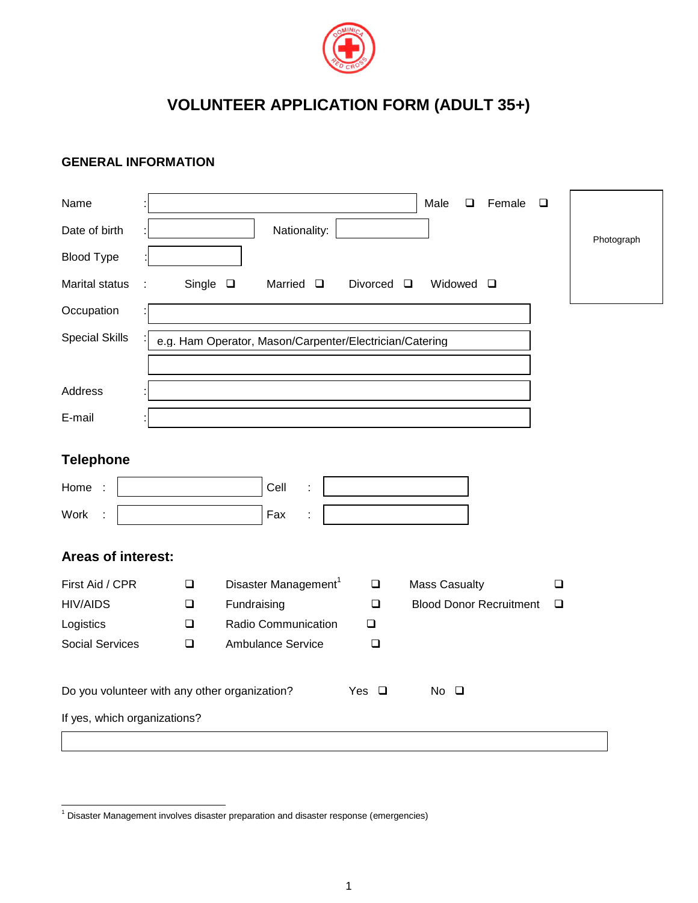

## **VOLUNTEER APPLICATION FORM (ADULT 35+)**

## **GENERAL INFORMATION**

| Name                                          |                  |                                                         |                 | Male<br>Female<br>❏            | $\Box$ |            |
|-----------------------------------------------|------------------|---------------------------------------------------------|-----------------|--------------------------------|--------|------------|
| Date of birth                                 |                  | Nationality:                                            |                 |                                |        | Photograph |
| <b>Blood Type</b>                             |                  |                                                         |                 |                                |        |            |
| <b>Marital status</b>                         | Single $\square$ | Married $\Box$                                          | Divorced $\Box$ | Widowed $\square$              |        |            |
| Occupation                                    |                  |                                                         |                 |                                |        |            |
| <b>Special Skills</b>                         |                  | e.g. Ham Operator, Mason/Carpenter/Electrician/Catering |                 |                                |        |            |
| Address                                       |                  |                                                         |                 |                                |        |            |
| E-mail                                        |                  |                                                         |                 |                                |        |            |
| <b>Telephone</b>                              |                  |                                                         |                 |                                |        |            |
| Home                                          |                  | Cell                                                    |                 |                                |        |            |
| Work                                          |                  | Fax                                                     |                 |                                |        |            |
| Areas of interest:                            |                  |                                                         |                 |                                |        |            |
| First Aid / CPR                               | $\Box$           | Disaster Management <sup>1</sup>                        | $\Box$          | <b>Mass Casualty</b>           | $\Box$ |            |
| <b>HIV/AIDS</b>                               | ❏                | Fundraising                                             | ❏               | <b>Blood Donor Recruitment</b> | $\Box$ |            |
| Logistics                                     | $\Box$           | Radio Communication                                     | $\Box$          |                                |        |            |
| <b>Social Services</b>                        | $\Box$           | <b>Ambulance Service</b>                                | $\Box$          |                                |        |            |
| Do you volunteer with any other organization? |                  |                                                         | Yes $\Box$      | $No$ $\Box$                    |        |            |
| If yes, which organizations?                  |                  |                                                         |                 |                                |        |            |
|                                               |                  |                                                         |                 |                                |        |            |

-

 $1$  Disaster Management involves disaster preparation and disaster response (emergencies)